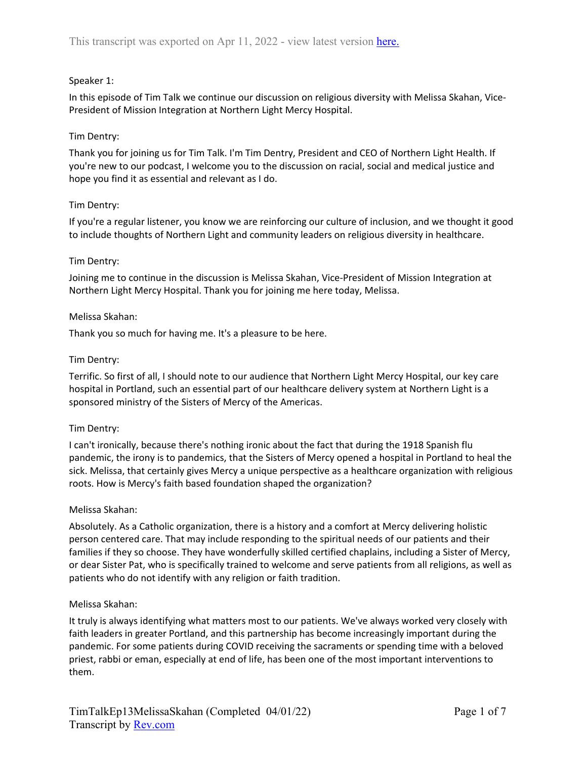# Speaker 1:

In this episode of Tim Talk we continue our discussion on religious diversity with Melissa Skahan, Vice-President of Mission Integration at Northern Light Mercy Hospital.

## Tim Dentry:

Thank you for joining us for Tim Talk. I'm Tim Dentry, President and CEO of Northern Light Health. If you're new to our podcast, I welcome you to the discussion on racial, social and medical justice and hope you find it as essential and relevant as I do.

## Tim Dentry:

If you're a regular listener, you know we are reinforcing our culture of inclusion, and we thought it good to include thoughts of Northern Light and community leaders on religious diversity in healthcare.

## Tim Dentry:

Joining me to continue in the discussion is Melissa Skahan, Vice-President of Mission Integration at Northern Light Mercy Hospital. Thank you for joining me here today, Melissa.

### Melissa Skahan:

Thank you so much for having me. It's a pleasure to be here.

## Tim Dentry:

Terrific. So first of all, I should note to our audience that Northern Light Mercy Hospital, our key care hospital in Portland, such an essential part of our healthcare delivery system at Northern Light is a sponsored ministry of the Sisters of Mercy of the Americas.

### Tim Dentry:

I can't ironically, because there's nothing ironic about the fact that during the 1918 Spanish flu pandemic, the irony is to pandemics, that the Sisters of Mercy opened a hospital in Portland to heal the sick. Melissa, that certainly gives Mercy a unique perspective as a healthcare organization with religious roots. How is Mercy's faith based foundation shaped the organization?

### Melissa Skahan:

Absolutely. As a Catholic organization, there is a history and a comfort at Mercy delivering holistic person centered care. That may include responding to the spiritual needs of our patients and their families if they so choose. They have wonderfully skilled certified chaplains, including a Sister of Mercy, or dear Sister Pat, who is specifically trained to welcome and serve patients from all religions, as well as patients who do not identify with any religion or faith tradition.

### Melissa Skahan:

It truly is always identifying what matters most to our patients. We've always worked very closely with faith leaders in greater Portland, and this partnership has become increasingly important during the pandemic. For some patients during COVID receiving the sacraments or spending time with a beloved priest, rabbi or eman, especially at end of life, has been one of the most important interventions to them.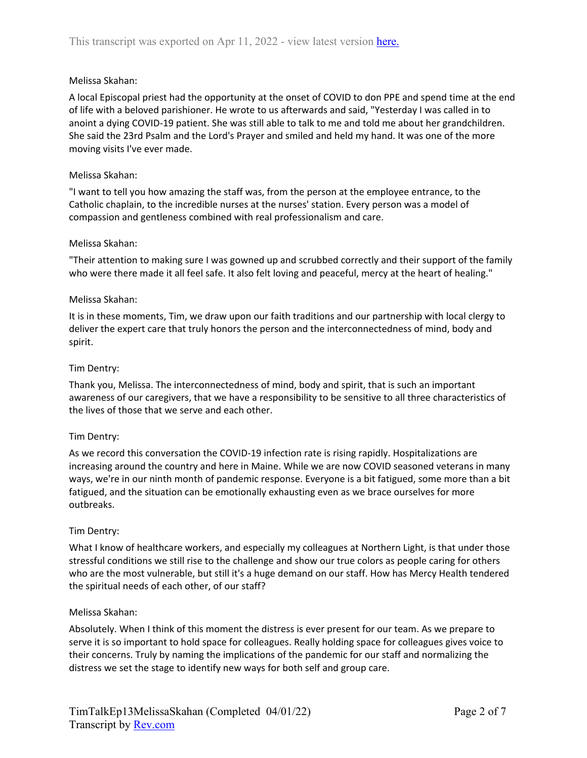## Melissa Skahan:

A local Episcopal priest had the opportunity at the onset of COVID to don PPE and spend time at the end of life with a beloved parishioner. He wrote to us afterwards and said, "Yesterday I was called in to anoint a dying COVID-19 patient. She was still able to talk to me and told me about her grandchildren. She said the 23rd Psalm and the Lord's Prayer and smiled and held my hand. It was one of the more moving visits I've ever made.

### Melissa Skahan:

"I want to tell you how amazing the staff was, from the person at the employee entrance, to the Catholic chaplain, to the incredible nurses at the nurses' station. Every person was a model of compassion and gentleness combined with real professionalism and care.

### Melissa Skahan:

"Their attention to making sure I was gowned up and scrubbed correctly and their support of the family who were there made it all feel safe. It also felt loving and peaceful, mercy at the heart of healing."

## Melissa Skahan:

It is in these moments, Tim, we draw upon our faith traditions and our partnership with local clergy to deliver the expert care that truly honors the person and the interconnectedness of mind, body and spirit.

## Tim Dentry:

Thank you, Melissa. The interconnectedness of mind, body and spirit, that is such an important awareness of our caregivers, that we have a responsibility to be sensitive to all three characteristics of the lives of those that we serve and each other.

### Tim Dentry:

As we record this conversation the COVID-19 infection rate is rising rapidly. Hospitalizations are increasing around the country and here in Maine. While we are now COVID seasoned veterans in many ways, we're in our ninth month of pandemic response. Everyone is a bit fatigued, some more than a bit fatigued, and the situation can be emotionally exhausting even as we brace ourselves for more outbreaks.

### Tim Dentry:

What I know of healthcare workers, and especially my colleagues at Northern Light, is that under those stressful conditions we still rise to the challenge and show our true colors as people caring for others who are the most vulnerable, but still it's a huge demand on our staff. How has Mercy Health tendered the spiritual needs of each other, of our staff?

### Melissa Skahan:

Absolutely. When I think of this moment the distress is ever present for our team. As we prepare to serve it is so important to hold space for colleagues. Really holding space for colleagues gives voice to their concerns. Truly by naming the implications of the pandemic for our staff and normalizing the distress we set the stage to identify new ways for both self and group care.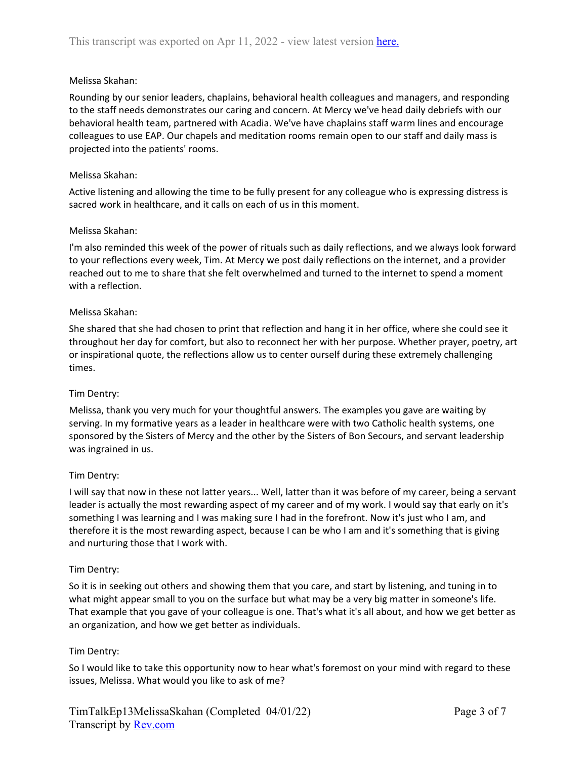## Melissa Skahan:

Rounding by our senior leaders, chaplains, behavioral health colleagues and managers, and responding to the staff needs demonstrates our caring and concern. At Mercy we've head daily debriefs with our behavioral health team, partnered with Acadia. We've have chaplains staff warm lines and encourage colleagues to use EAP. Our chapels and meditation rooms remain open to our staff and daily mass is projected into the patients' rooms.

### Melissa Skahan:

Active listening and allowing the time to be fully present for any colleague who is expressing distress is sacred work in healthcare, and it calls on each of us in this moment.

## Melissa Skahan:

I'm also reminded this week of the power of rituals such as daily reflections, and we always look forward to your reflections every week, Tim. At Mercy we post daily reflections on the internet, and a provider reached out to me to share that she felt overwhelmed and turned to the internet to spend a moment with a reflection.

### Melissa Skahan:

She shared that she had chosen to print that reflection and hang it in her office, where she could see it throughout her day for comfort, but also to reconnect her with her purpose. Whether prayer, poetry, art or inspirational quote, the reflections allow us to center ourself during these extremely challenging times.

### Tim Dentry:

Melissa, thank you very much for your thoughtful answers. The examples you gave are waiting by serving. In my formative years as a leader in healthcare were with two Catholic health systems, one sponsored by the Sisters of Mercy and the other by the Sisters of Bon Secours, and servant leadership was ingrained in us.

### Tim Dentry:

I will say that now in these not latter years... Well, latter than it was before of my career, being a servant leader is actually the most rewarding aspect of my career and of my work. I would say that early on it's something I was learning and I was making sure I had in the forefront. Now it's just who I am, and therefore it is the most rewarding aspect, because I can be who I am and it's something that is giving and nurturing those that I work with.

### Tim Dentry:

So it is in seeking out others and showing them that you care, and start by listening, and tuning in to what might appear small to you on the surface but what may be a very big matter in someone's life. That example that you gave of your colleague is one. That's what it's all about, and how we get better as an organization, and how we get better as individuals.

### Tim Dentry:

So I would like to take this opportunity now to hear what's foremost on your mind with regard to these issues, Melissa. What would you like to ask of me?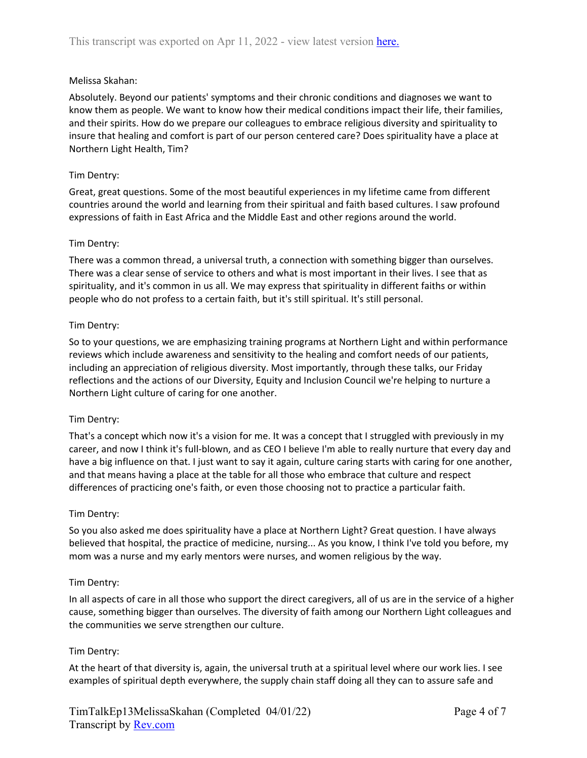## Melissa Skahan:

Absolutely. Beyond our patients' symptoms and their chronic conditions and diagnoses we want to know them as people. We want to know how their medical conditions impact their life, their families, and their spirits. How do we prepare our colleagues to embrace religious diversity and spirituality to insure that healing and comfort is part of our person centered care? Does spirituality have a place at Northern Light Health, Tim?

### Tim Dentry:

Great, great questions. Some of the most beautiful experiences in my lifetime came from different countries around the world and learning from their spiritual and faith based cultures. I saw profound expressions of faith in East Africa and the Middle East and other regions around the world.

### Tim Dentry:

There was a common thread, a universal truth, a connection with something bigger than ourselves. There was a clear sense of service to others and what is most important in their lives. I see that as spirituality, and it's common in us all. We may express that spirituality in different faiths or within people who do not profess to a certain faith, but it's still spiritual. It's still personal.

## Tim Dentry:

So to your questions, we are emphasizing training programs at Northern Light and within performance reviews which include awareness and sensitivity to the healing and comfort needs of our patients, including an appreciation of religious diversity. Most importantly, through these talks, our Friday reflections and the actions of our Diversity, Equity and Inclusion Council we're helping to nurture a Northern Light culture of caring for one another.

### Tim Dentry:

That's a concept which now it's a vision for me. It was a concept that I struggled with previously in my career, and now I think it's full-blown, and as CEO I believe I'm able to really nurture that every day and have a big influence on that. I just want to say it again, culture caring starts with caring for one another, and that means having a place at the table for all those who embrace that culture and respect differences of practicing one's faith, or even those choosing not to practice a particular faith.

### Tim Dentry:

So you also asked me does spirituality have a place at Northern Light? Great question. I have always believed that hospital, the practice of medicine, nursing... As you know, I think I've told you before, my mom was a nurse and my early mentors were nurses, and women religious by the way.

### Tim Dentry:

In all aspects of care in all those who support the direct caregivers, all of us are in the service of a higher cause, something bigger than ourselves. The diversity of faith among our Northern Light colleagues and the communities we serve strengthen our culture.

# Tim Dentry:

At the heart of that diversity is, again, the universal truth at a spiritual level where our work lies. I see examples of spiritual depth everywhere, the supply chain staff doing all they can to assure safe and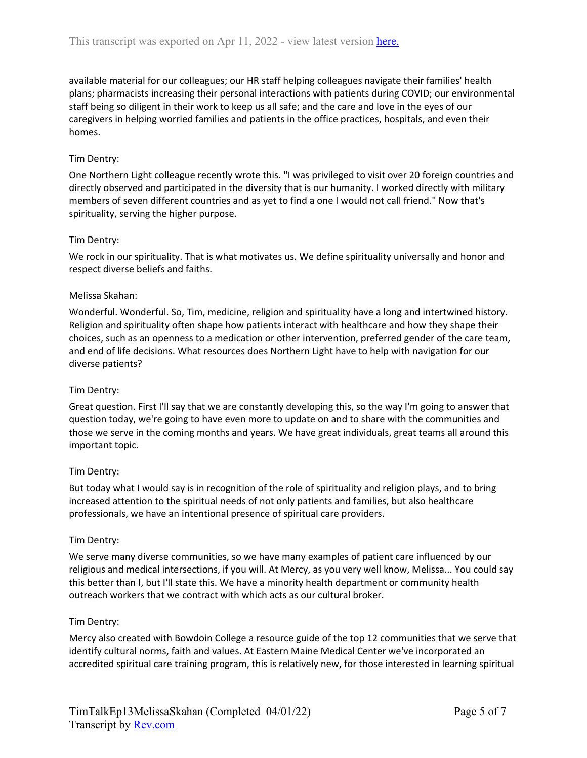available material for our colleagues; our HR staff helping colleagues navigate their families' health plans; pharmacists increasing their personal interactions with patients during COVID; our environmental staff being so diligent in their work to keep us all safe; and the care and love in the eyes of our caregivers in helping worried families and patients in the office practices, hospitals, and even their homes.

# Tim Dentry:

One Northern Light colleague recently wrote this. "I was privileged to visit over 20 foreign countries and directly observed and participated in the diversity that is our humanity. I worked directly with military members of seven different countries and as yet to find a one I would not call friend." Now that's spirituality, serving the higher purpose.

## Tim Dentry:

We rock in our spirituality. That is what motivates us. We define spirituality universally and honor and respect diverse beliefs and faiths.

## Melissa Skahan:

Wonderful. Wonderful. So, Tim, medicine, religion and spirituality have a long and intertwined history. Religion and spirituality often shape how patients interact with healthcare and how they shape their choices, such as an openness to a medication or other intervention, preferred gender of the care team, and end of life decisions. What resources does Northern Light have to help with navigation for our diverse patients?

### Tim Dentry:

Great question. First I'll say that we are constantly developing this, so the way I'm going to answer that question today, we're going to have even more to update on and to share with the communities and those we serve in the coming months and years. We have great individuals, great teams all around this important topic.

### Tim Dentry:

But today what I would say is in recognition of the role of spirituality and religion plays, and to bring increased attention to the spiritual needs of not only patients and families, but also healthcare professionals, we have an intentional presence of spiritual care providers.

### Tim Dentry:

We serve many diverse communities, so we have many examples of patient care influenced by our religious and medical intersections, if you will. At Mercy, as you very well know, Melissa... You could say this better than I, but I'll state this. We have a minority health department or community health outreach workers that we contract with which acts as our cultural broker.

### Tim Dentry:

Mercy also created with Bowdoin College a resource guide of the top 12 communities that we serve that identify cultural norms, faith and values. At Eastern Maine Medical Center we've incorporated an accredited spiritual care training program, this is relatively new, for those interested in learning spiritual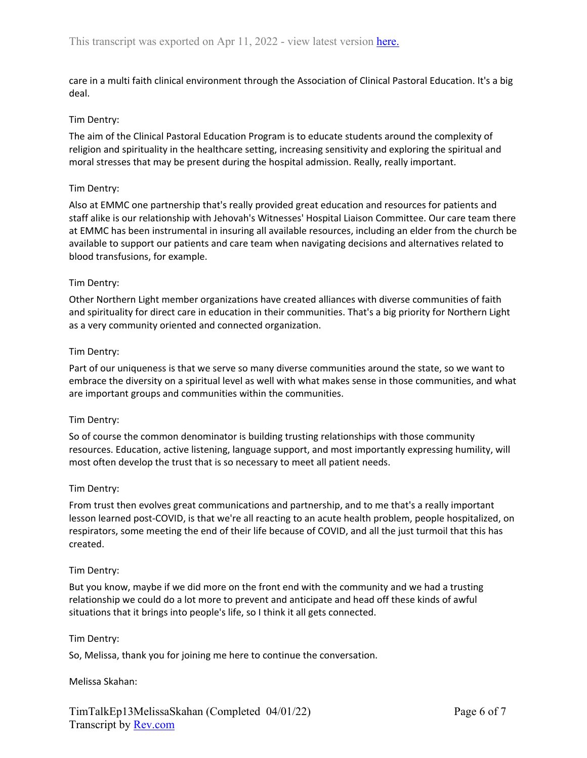care in a multi faith clinical environment through the Association of Clinical Pastoral Education. It's a big deal.

## Tim Dentry:

The aim of the Clinical Pastoral Education Program is to educate students around the complexity of religion and spirituality in the healthcare setting, increasing sensitivity and exploring the spiritual and moral stresses that may be present during the hospital admission. Really, really important.

### Tim Dentry:

Also at EMMC one partnership that's really provided great education and resources for patients and staff alike is our relationship with Jehovah's Witnesses' Hospital Liaison Committee. Our care team there at EMMC has been instrumental in insuring all available resources, including an elder from the church be available to support our patients and care team when navigating decisions and alternatives related to blood transfusions, for example.

### Tim Dentry:

Other Northern Light member organizations have created alliances with diverse communities of faith and spirituality for direct care in education in their communities. That's a big priority for Northern Light as a very community oriented and connected organization.

### Tim Dentry:

Part of our uniqueness is that we serve so many diverse communities around the state, so we want to embrace the diversity on a spiritual level as well with what makes sense in those communities, and what are important groups and communities within the communities.

### Tim Dentry:

So of course the common denominator is building trusting relationships with those community resources. Education, active listening, language support, and most importantly expressing humility, will most often develop the trust that is so necessary to meet all patient needs.

### Tim Dentry:

From trust then evolves great communications and partnership, and to me that's a really important lesson learned post-COVID, is that we're all reacting to an acute health problem, people hospitalized, on respirators, some meeting the end of their life because of COVID, and all the just turmoil that this has created.

### Tim Dentry:

But you know, maybe if we did more on the front end with the community and we had a trusting relationship we could do a lot more to prevent and anticipate and head off these kinds of awful situations that it brings into people's life, so I think it all gets connected.

### Tim Dentry:

So, Melissa, thank you for joining me here to continue the conversation.

### Melissa Skahan: